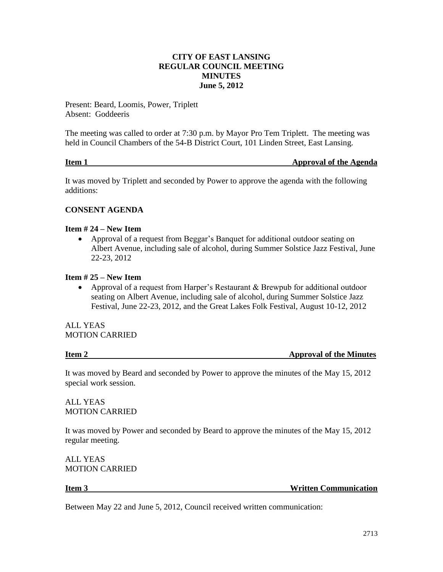# **CITY OF EAST LANSING REGULAR COUNCIL MEETING MINUTES June 5, 2012**

Present: Beard, Loomis, Power, Triplett Absent: Goddeeris

The meeting was called to order at 7:30 p.m. by Mayor Pro Tem Triplett. The meeting was held in Council Chambers of the 54-B District Court, 101 Linden Street, East Lansing.

# **Item 1** Approval of the Agenda

It was moved by Triplett and seconded by Power to approve the agenda with the following additions:

# **CONSENT AGENDA**

## **Item # 24 – New Item**

 Approval of a request from Beggar's Banquet for additional outdoor seating on Albert Avenue, including sale of alcohol, during Summer Solstice Jazz Festival, June 22-23, 2012

# **Item # 25 – New Item**

 Approval of a request from Harper's Restaurant & Brewpub for additional outdoor seating on Albert Avenue, including sale of alcohol, during Summer Solstice Jazz Festival, June 22-23, 2012, and the Great Lakes Folk Festival, August 10-12, 2012

ALL YEAS MOTION CARRIED

| Item 2<br><b>Approval of the Minutes</b> |  |
|------------------------------------------|--|

It was moved by Beard and seconded by Power to approve the minutes of the May 15, 2012 special work session.

ALL YEAS MOTION CARRIED

It was moved by Power and seconded by Beard to approve the minutes of the May 15, 2012 regular meeting.

ALL YEAS MOTION CARRIED

**Item 3** Written Communication

Between May 22 and June 5, 2012, Council received written communication: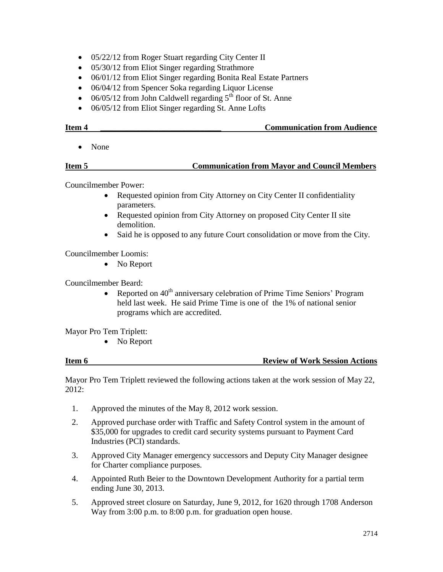- 05/22/12 from Roger Stuart regarding City Center II
- 05/30/12 from Eliot Singer regarding Strathmore
- 06/01/12 from Eliot Singer regarding Bonita Real Estate Partners
- 06/04/12 from Spencer Soka regarding Liquor License
- $\bullet$  06/05/12 from John Caldwell regarding 5<sup>th</sup> floor of St. Anne
- 06/05/12 from Eliot Singer regarding St. Anne Lofts

# **Item 4 \_\_\_\_\_\_\_\_\_\_\_\_\_\_\_\_\_\_\_\_\_\_\_\_\_\_\_\_\_ Communication from Audience**

• None

# **Item 5 Communication from Mayor and Council Members**

Councilmember Power:

- Requested opinion from City Attorney on City Center II confidentiality parameters.
- Requested opinion from City Attorney on proposed City Center II site demolition.
- Said he is opposed to any future Court consolidation or move from the City.

Councilmember Loomis:

• No Report

Councilmember Beard:

• Reported on  $40<sup>th</sup>$  anniversary celebration of Prime Time Seniors' Program held last week. He said Prime Time is one of the 1% of national senior programs which are accredited.

Mayor Pro Tem Triplett:

• No Report

### **Item 6 Review of Work Session Actions**

Mayor Pro Tem Triplett reviewed the following actions taken at the work session of May 22, 2012:

- 1. Approved the minutes of the May 8, 2012 work session.
- 2. Approved purchase order with Traffic and Safety Control system in the amount of \$35,000 for upgrades to credit card security systems pursuant to Payment Card Industries (PCI) standards.
- 3. Approved City Manager emergency successors and Deputy City Manager designee for Charter compliance purposes.
- 4. Appointed Ruth Beier to the Downtown Development Authority for a partial term ending June 30, 2013.
- 5. Approved street closure on Saturday, June 9, 2012, for 1620 through 1708 Anderson Way from 3:00 p.m. to 8:00 p.m. for graduation open house.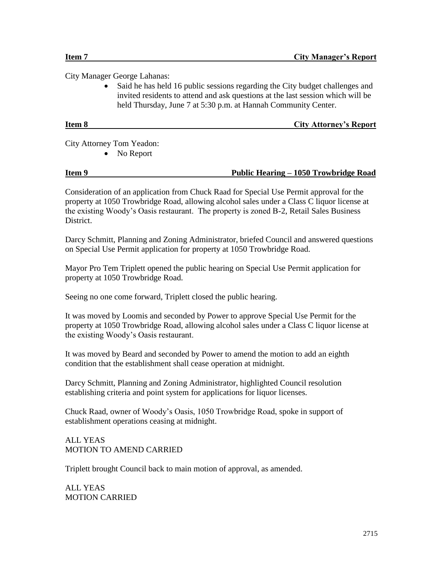City Manager George Lahanas:

• Said he has held 16 public sessions regarding the City budget challenges and invited residents to attend and ask questions at the last session which will be held Thursday, June 7 at 5:30 p.m. at Hannah Community Center.

# **Item 8 City Attorney's Report**

City Attorney Tom Yeadon:

• No Report

## **Item 9 Public Hearing – 1050 Trowbridge Road**

Consideration of an application from Chuck Raad for Special Use Permit approval for the property at 1050 Trowbridge Road, allowing alcohol sales under a Class C liquor license at the existing Woody's Oasis restaurant. The property is zoned B-2, Retail Sales Business District.

Darcy Schmitt, Planning and Zoning Administrator, briefed Council and answered questions on Special Use Permit application for property at 1050 Trowbridge Road.

Mayor Pro Tem Triplett opened the public hearing on Special Use Permit application for property at 1050 Trowbridge Road.

Seeing no one come forward, Triplett closed the public hearing.

It was moved by Loomis and seconded by Power to approve Special Use Permit for the property at 1050 Trowbridge Road, allowing alcohol sales under a Class C liquor license at the existing Woody's Oasis restaurant.

It was moved by Beard and seconded by Power to amend the motion to add an eighth condition that the establishment shall cease operation at midnight.

Darcy Schmitt, Planning and Zoning Administrator, highlighted Council resolution establishing criteria and point system for applications for liquor licenses.

Chuck Raad, owner of Woody's Oasis, 1050 Trowbridge Road, spoke in support of establishment operations ceasing at midnight.

# ALL YEAS MOTION TO AMEND CARRIED

Triplett brought Council back to main motion of approval, as amended.

ALL YEAS MOTION CARRIED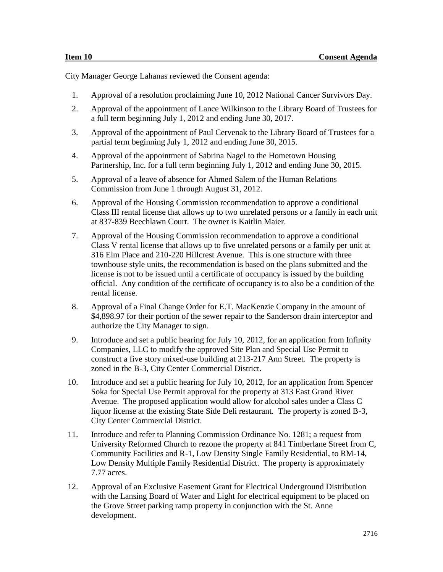City Manager George Lahanas reviewed the Consent agenda:

- 1. Approval of a resolution proclaiming June 10, 2012 National Cancer Survivors Day.
- 2. Approval of the appointment of Lance Wilkinson to the Library Board of Trustees for a full term beginning July 1, 2012 and ending June 30, 2017.
- 3. Approval of the appointment of Paul Cervenak to the Library Board of Trustees for a partial term beginning July 1, 2012 and ending June 30, 2015.
- 4. Approval of the appointment of Sabrina Nagel to the Hometown Housing Partnership, Inc. for a full term beginning July 1, 2012 and ending June 30, 2015.
- 5. Approval of a leave of absence for Ahmed Salem of the Human Relations Commission from June 1 through August 31, 2012.
- 6. Approval of the Housing Commission recommendation to approve a conditional Class III rental license that allows up to two unrelated persons or a family in each unit at 837-839 Beechlawn Court. The owner is Kaitlin Maier.
- 7. Approval of the Housing Commission recommendation to approve a conditional Class V rental license that allows up to five unrelated persons or a family per unit at 316 Elm Place and 210-220 Hillcrest Avenue. This is one structure with three townhouse style units, the recommendation is based on the plans submitted and the license is not to be issued until a certificate of occupancy is issued by the building official. Any condition of the certificate of occupancy is to also be a condition of the rental license.
- 8. Approval of a Final Change Order for E.T. MacKenzie Company in the amount of \$4,898.97 for their portion of the sewer repair to the Sanderson drain interceptor and authorize the City Manager to sign.
- 9. Introduce and set a public hearing for July 10, 2012, for an application from Infinity Companies, LLC to modify the approved Site Plan and Special Use Permit to construct a five story mixed-use building at 213-217 Ann Street. The property is zoned in the B-3, City Center Commercial District.
- 10. Introduce and set a public hearing for July 10, 2012, for an application from Spencer Soka for Special Use Permit approval for the property at 313 East Grand River Avenue. The proposed application would allow for alcohol sales under a Class C liquor license at the existing State Side Deli restaurant. The property is zoned B-3, City Center Commercial District.
- 11. Introduce and refer to Planning Commission Ordinance No. 1281; a request from University Reformed Church to rezone the property at 841 Timberlane Street from C, Community Facilities and R-1, Low Density Single Family Residential, to RM-14, Low Density Multiple Family Residential District. The property is approximately 7.77 acres.
- 12. Approval of an Exclusive Easement Grant for Electrical Underground Distribution with the Lansing Board of Water and Light for electrical equipment to be placed on the Grove Street parking ramp property in conjunction with the St. Anne development.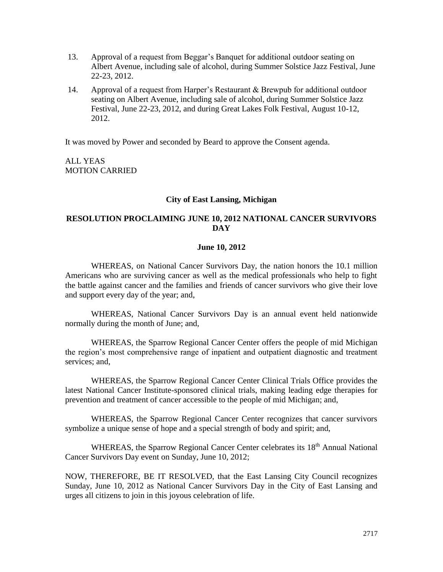- 13. Approval of a request from Beggar's Banquet for additional outdoor seating on Albert Avenue, including sale of alcohol, during Summer Solstice Jazz Festival, June 22-23, 2012.
- 14. Approval of a request from Harper's Restaurant & Brewpub for additional outdoor seating on Albert Avenue, including sale of alcohol, during Summer Solstice Jazz Festival, June 22-23, 2012, and during Great Lakes Folk Festival, August 10-12, 2012.

It was moved by Power and seconded by Beard to approve the Consent agenda.

ALL YEAS MOTION CARRIED

### **City of East Lansing, Michigan**

## **RESOLUTION PROCLAIMING JUNE 10, 2012 NATIONAL CANCER SURVIVORS DAY**

### **June 10, 2012**

WHEREAS, on National Cancer Survivors Day, the nation honors the 10.1 million Americans who are surviving cancer as well as the medical professionals who help to fight the battle against cancer and the families and friends of cancer survivors who give their love and support every day of the year; and,

WHEREAS, National Cancer Survivors Day is an annual event held nationwide normally during the month of June; and,

WHEREAS, the Sparrow Regional Cancer Center offers the people of mid Michigan the region's most comprehensive range of inpatient and outpatient diagnostic and treatment services; and,

WHEREAS, the Sparrow Regional Cancer Center Clinical Trials Office provides the latest National Cancer Institute-sponsored clinical trials, making leading edge therapies for prevention and treatment of cancer accessible to the people of mid Michigan; and,

WHEREAS, the Sparrow Regional Cancer Center recognizes that cancer survivors symbolize a unique sense of hope and a special strength of body and spirit; and,

WHEREAS, the Sparrow Regional Cancer Center celebrates its  $18<sup>th</sup>$  Annual National Cancer Survivors Day event on Sunday, June 10, 2012;

NOW, THEREFORE, BE IT RESOLVED, that the East Lansing City Council recognizes Sunday, June 10, 2012 as National Cancer Survivors Day in the City of East Lansing and urges all citizens to join in this joyous celebration of life.